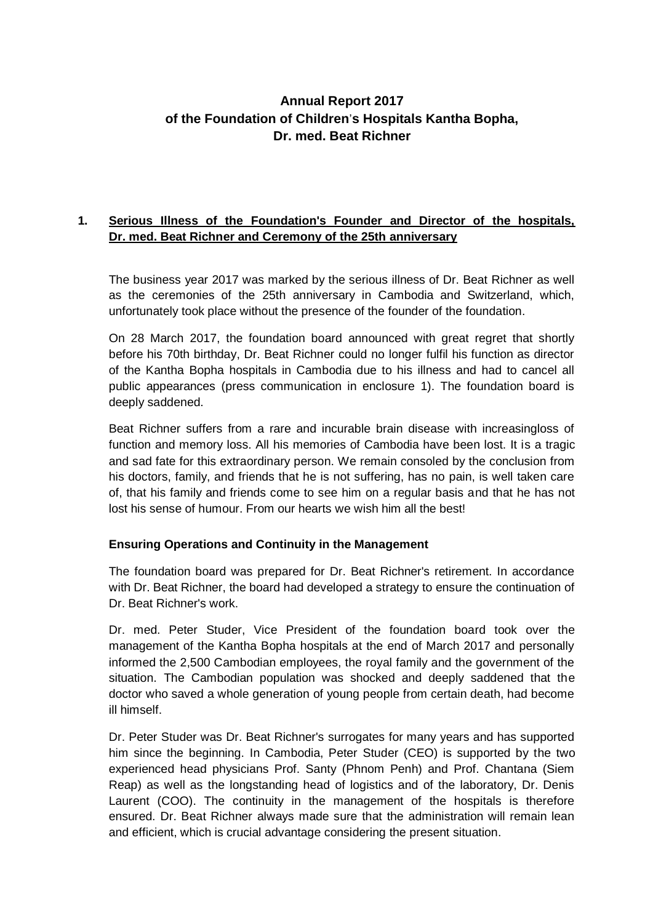# **Annual Report 2017 of the Foundation of Children**'**s Hospitals Kantha Bopha, Dr. med. Beat Richner**

## **1. Serious Illness of the Foundation's Founder and Director of the hospitals, Dr. med. Beat Richner and Ceremony of the 25th anniversary**

The business year 2017 was marked by the serious illness of Dr. Beat Richner as well as the ceremonies of the 25th anniversary in Cambodia and Switzerland, which, unfortunately took place without the presence of the founder of the foundation.

On 28 March 2017, the foundation board announced with great regret that shortly before his 70th birthday, Dr. Beat Richner could no longer fulfil his function as director of the Kantha Bopha hospitals in Cambodia due to his illness and had to cancel all public appearances (press communication in enclosure 1). The foundation board is deeply saddened.

Beat Richner suffers from a rare and incurable brain disease with increasingloss of function and memory loss. All his memories of Cambodia have been lost. It is a tragic and sad fate for this extraordinary person. We remain consoled by the conclusion from his doctors, family, and friends that he is not suffering, has no pain, is well taken care of, that his family and friends come to see him on a regular basis and that he has not lost his sense of humour. From our hearts we wish him all the best!

## **Ensuring Operations and Continuity in the Management**

The foundation board was prepared for Dr. Beat Richner's retirement. In accordance with Dr. Beat Richner, the board had developed a strategy to ensure the continuation of Dr. Beat Richner's work.

Dr. med. Peter Studer, Vice President of the foundation board took over the management of the Kantha Bopha hospitals at the end of March 2017 and personally informed the 2,500 Cambodian employees, the royal family and the government of the situation. The Cambodian population was shocked and deeply saddened that the doctor who saved a whole generation of young people from certain death, had become ill himself.

Dr. Peter Studer was Dr. Beat Richner's surrogates for many years and has supported him since the beginning. In Cambodia, Peter Studer (CEO) is supported by the two experienced head physicians Prof. Santy (Phnom Penh) and Prof. Chantana (Siem Reap) as well as the longstanding head of logistics and of the laboratory, Dr. Denis Laurent (COO). The continuity in the management of the hospitals is therefore ensured. Dr. Beat Richner always made sure that the administration will remain lean and efficient, which is crucial advantage considering the present situation.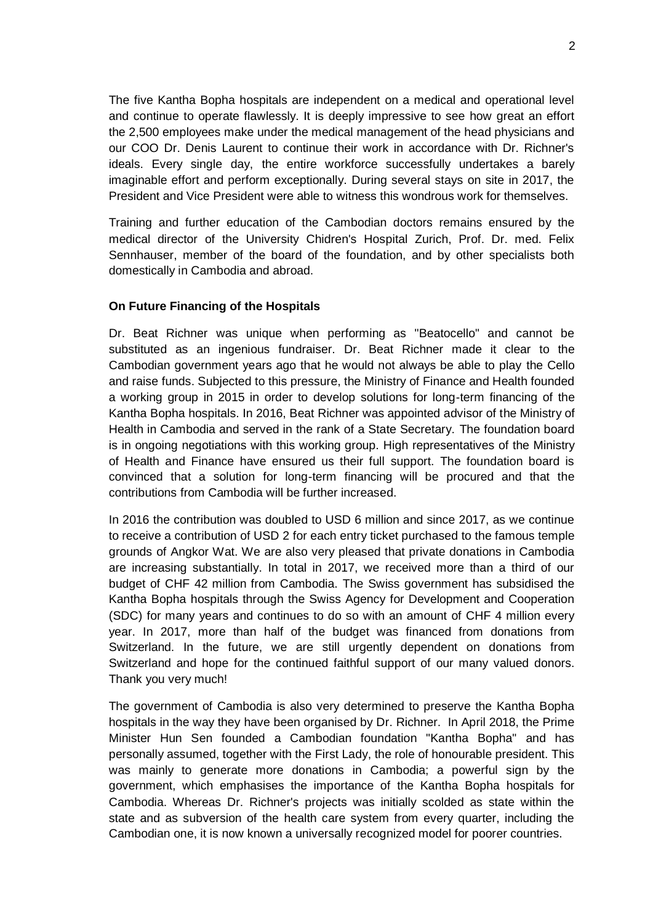The five Kantha Bopha hospitals are independent on a medical and operational level and continue to operate flawlessly. It is deeply impressive to see how great an effort the 2,500 employees make under the medical management of the head physicians and our COO Dr. Denis Laurent to continue their work in accordance with Dr. Richner's ideals. Every single day, the entire workforce successfully undertakes a barely imaginable effort and perform exceptionally. During several stays on site in 2017, the President and Vice President were able to witness this wondrous work for themselves.

Training and further education of the Cambodian doctors remains ensured by the medical director of the University Chidren's Hospital Zurich, Prof. Dr. med. Felix Sennhauser, member of the board of the foundation, and by other specialists both domestically in Cambodia and abroad.

#### **On Future Financing of the Hospitals**

Dr. Beat Richner was unique when performing as "Beatocello" and cannot be substituted as an ingenious fundraiser. Dr. Beat Richner made it clear to the Cambodian government years ago that he would not always be able to play the Cello and raise funds. Subjected to this pressure, the Ministry of Finance and Health founded a working group in 2015 in order to develop solutions for long-term financing of the Kantha Bopha hospitals. In 2016, Beat Richner was appointed advisor of the Ministry of Health in Cambodia and served in the rank of a State Secretary. The foundation board is in ongoing negotiations with this working group. High representatives of the Ministry of Health and Finance have ensured us their full support. The foundation board is convinced that a solution for long-term financing will be procured and that the contributions from Cambodia will be further increased.

In 2016 the contribution was doubled to USD 6 million and since 2017, as we continue to receive a contribution of USD 2 for each entry ticket purchased to the famous temple grounds of Angkor Wat. We are also very pleased that private donations in Cambodia are increasing substantially. In total in 2017, we received more than a third of our budget of CHF 42 million from Cambodia. The Swiss government has subsidised the Kantha Bopha hospitals through the Swiss Agency for Development and Cooperation (SDC) for many years and continues to do so with an amount of CHF 4 million every year. In 2017, more than half of the budget was financed from donations from Switzerland. In the future, we are still urgently dependent on donations from Switzerland and hope for the continued faithful support of our many valued donors. Thank you very much!

The government of Cambodia is also very determined to preserve the Kantha Bopha hospitals in the way they have been organised by Dr. Richner. In April 2018, the Prime Minister Hun Sen founded a Cambodian foundation "Kantha Bopha" and has personally assumed, together with the First Lady, the role of honourable president. This was mainly to generate more donations in Cambodia; a powerful sign by the government, which emphasises the importance of the Kantha Bopha hospitals for Cambodia. Whereas Dr. Richner's projects was initially scolded as state within the state and as subversion of the health care system from every quarter, including the Cambodian one, it is now known a universally recognized model for poorer countries.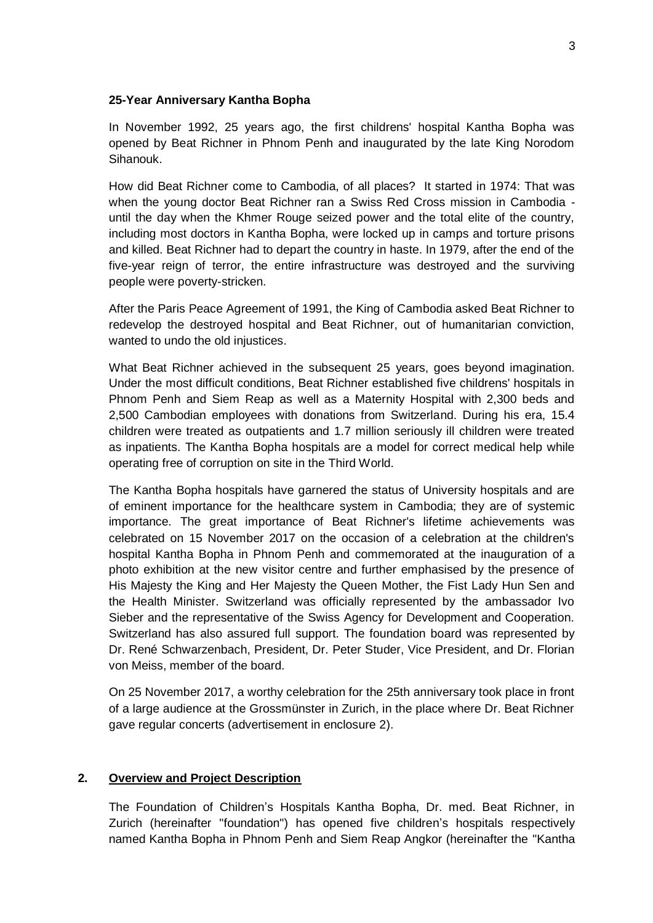#### **25-Year Anniversary Kantha Bopha**

In November 1992, 25 years ago, the first childrens' hospital Kantha Bopha was opened by Beat Richner in Phnom Penh and inaugurated by the late King Norodom Sihanouk.

How did Beat Richner come to Cambodia, of all places? It started in 1974: That was when the young doctor Beat Richner ran a Swiss Red Cross mission in Cambodia until the day when the Khmer Rouge seized power and the total elite of the country, including most doctors in Kantha Bopha, were locked up in camps and torture prisons and killed. Beat Richner had to depart the country in haste. In 1979, after the end of the five-year reign of terror, the entire infrastructure was destroyed and the surviving people were poverty-stricken.

After the Paris Peace Agreement of 1991, the King of Cambodia asked Beat Richner to redevelop the destroyed hospital and Beat Richner, out of humanitarian conviction, wanted to undo the old injustices.

What Beat Richner achieved in the subsequent 25 years, goes beyond imagination. Under the most difficult conditions, Beat Richner established five childrens' hospitals in Phnom Penh and Siem Reap as well as a Maternity Hospital with 2,300 beds and 2,500 Cambodian employees with donations from Switzerland. During his era, 15.4 children were treated as outpatients and 1.7 million seriously ill children were treated as inpatients. The Kantha Bopha hospitals are a model for correct medical help while operating free of corruption on site in the Third World.

The Kantha Bopha hospitals have garnered the status of University hospitals and are of eminent importance for the healthcare system in Cambodia; they are of systemic importance. The great importance of Beat Richner's lifetime achievements was celebrated on 15 November 2017 on the occasion of a celebration at the children's hospital Kantha Bopha in Phnom Penh and commemorated at the inauguration of a photo exhibition at the new visitor centre and further emphasised by the presence of His Majesty the King and Her Majesty the Queen Mother, the Fist Lady Hun Sen and the Health Minister. Switzerland was officially represented by the ambassador Ivo Sieber and the representative of the Swiss Agency for Development and Cooperation. Switzerland has also assured full support. The foundation board was represented by Dr. René Schwarzenbach, President, Dr. Peter Studer, Vice President, and Dr. Florian von Meiss, member of the board.

On 25 November 2017, a worthy celebration for the 25th anniversary took place in front of a large audience at the Grossmünster in Zurich, in the place where Dr. Beat Richner gave regular concerts (advertisement in enclosure 2).

#### **2. Overview and Project Description**

The Foundation of Children's Hospitals Kantha Bopha, Dr. med. Beat Richner, in Zurich (hereinafter "foundation") has opened five children's hospitals respectively named Kantha Bopha in Phnom Penh and Siem Reap Angkor (hereinafter the "Kantha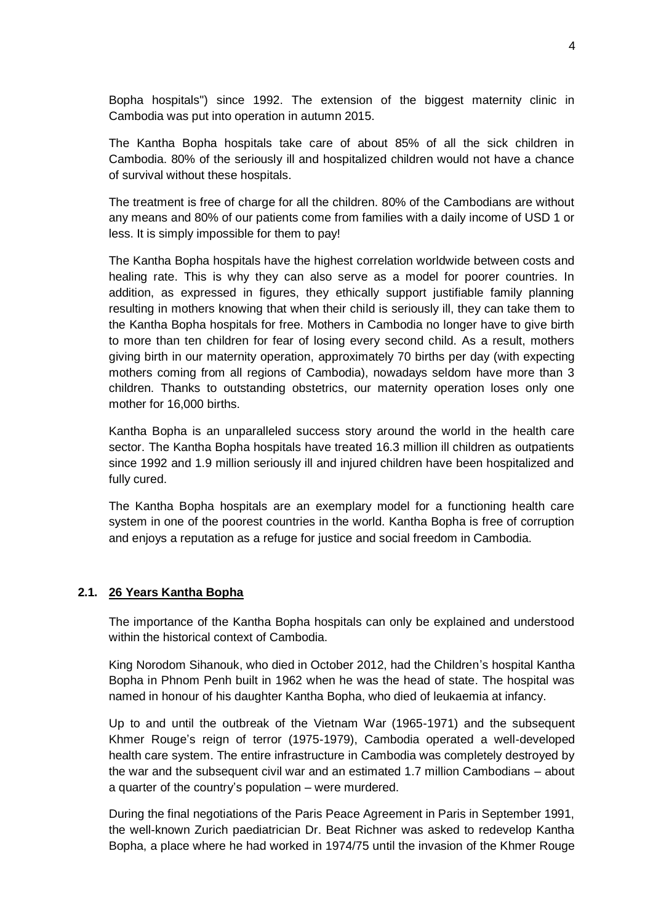Bopha hospitals") since 1992. The extension of the biggest maternity clinic in Cambodia was put into operation in autumn 2015.

The Kantha Bopha hospitals take care of about 85% of all the sick children in Cambodia. 80% of the seriously ill and hospitalized children would not have a chance of survival without these hospitals.

The treatment is free of charge for all the children. 80% of the Cambodians are without any means and 80% of our patients come from families with a daily income of USD 1 or less. It is simply impossible for them to pay!

The Kantha Bopha hospitals have the highest correlation worldwide between costs and healing rate. This is why they can also serve as a model for poorer countries. In addition, as expressed in figures, they ethically support justifiable family planning resulting in mothers knowing that when their child is seriously ill, they can take them to the Kantha Bopha hospitals for free. Mothers in Cambodia no longer have to give birth to more than ten children for fear of losing every second child. As a result, mothers giving birth in our maternity operation, approximately 70 births per day (with expecting mothers coming from all regions of Cambodia), nowadays seldom have more than 3 children. Thanks to outstanding obstetrics, our maternity operation loses only one mother for 16,000 births.

Kantha Bopha is an unparalleled success story around the world in the health care sector. The Kantha Bopha hospitals have treated 16.3 million ill children as outpatients since 1992 and 1.9 million seriously ill and injured children have been hospitalized and fully cured.

The Kantha Bopha hospitals are an exemplary model for a functioning health care system in one of the poorest countries in the world. Kantha Bopha is free of corruption and enjoys a reputation as a refuge for justice and social freedom in Cambodia.

#### **2.1. 26 Years Kantha Bopha**

The importance of the Kantha Bopha hospitals can only be explained and understood within the historical context of Cambodia.

King Norodom Sihanouk, who died in October 2012, had the Children's hospital Kantha Bopha in Phnom Penh built in 1962 when he was the head of state. The hospital was named in honour of his daughter Kantha Bopha, who died of leukaemia at infancy.

Up to and until the outbreak of the Vietnam War (1965-1971) and the subsequent Khmer Rouge's reign of terror (1975-1979), Cambodia operated a well-developed health care system. The entire infrastructure in Cambodia was completely destroyed by the war and the subsequent civil war and an estimated 1.7 million Cambodians – about a quarter of the country's population – were murdered.

During the final negotiations of the Paris Peace Agreement in Paris in September 1991, the well-known Zurich paediatrician Dr. Beat Richner was asked to redevelop Kantha Bopha, a place where he had worked in 1974/75 until the invasion of the Khmer Rouge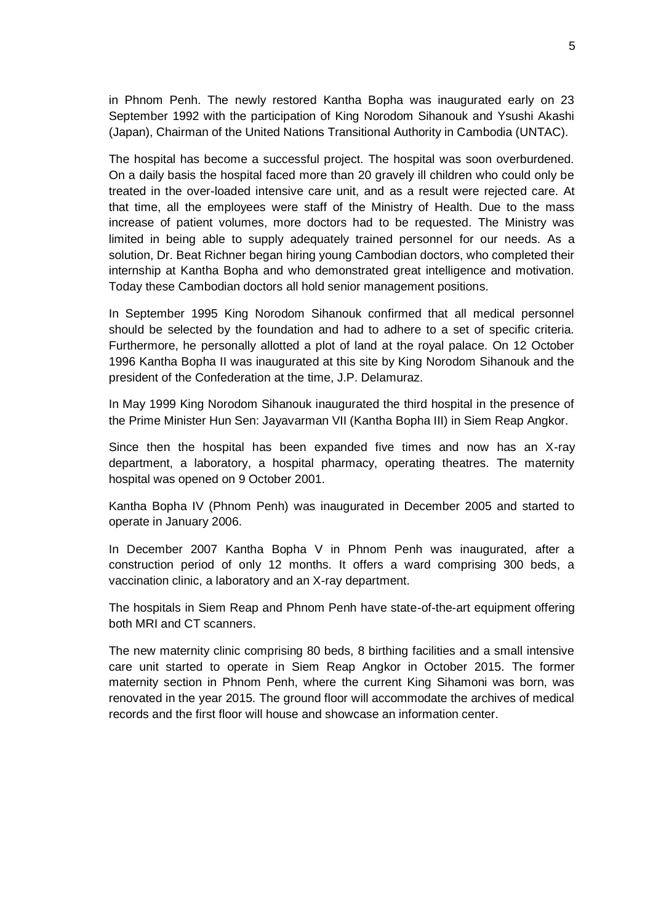in Phnom Penh. The newly restored Kantha Bopha was inaugurated early on 23 September 1992 with the participation of King Norodom Sihanouk and Ysushi Akashi (Japan), Chairman of the United Nations Transitional Authority in Cambodia (UNTAC).

The hospital has become a successful project. The hospital was soon overburdened. On a daily basis the hospital faced more than 20 gravely ill children who could only be treated in the over-loaded intensive care unit, and as a result were rejected care. At that time, all the employees were staff of the Ministry of Health. Due to the mass increase of patient volumes, more doctors had to be requested. The Ministry was limited in being able to supply adequately trained personnel for our needs. As a solution, Dr. Beat Richner began hiring young Cambodian doctors, who completed their internship at Kantha Bopha and who demonstrated great intelligence and motivation. Today these Cambodian doctors all hold senior management positions.

In September 1995 King Norodom Sihanouk confirmed that all medical personnel should be selected by the foundation and had to adhere to a set of specific criteria. Furthermore, he personally allotted a plot of land at the royal palace. On 12 October 1996 Kantha Bopha II was inaugurated at this site by King Norodom Sihanouk and the president of the Confederation at the time, J.P. Delamuraz.

In May 1999 King Norodom Sihanouk inaugurated the third hospital in the presence of the Prime Minister Hun Sen: Jayavarman VII (Kantha Bopha III) in Siem Reap Angkor.

Since then the hospital has been expanded five times and now has an X-ray department, a laboratory, a hospital pharmacy, operating theatres. The maternity hospital was opened on 9 October 2001.

Kantha Bopha IV (Phnom Penh) was inaugurated in December 2005 and started to operate in January 2006.

In December 2007 Kantha Bopha V in Phnom Penh was inaugurated, after a construction period of only 12 months. It offers a ward comprising 300 beds, a vaccination clinic, a laboratory and an X-ray department.

The hospitals in Siem Reap and Phnom Penh have state-of-the-art equipment offering both MRI and CT scanners.

The new maternity clinic comprising 80 beds, 8 birthing facilities and a small intensive care unit started to operate in Siem Reap Angkor in October 2015. The former maternity section in Phnom Penh, where the current King Sihamoni was born, was renovated in the year 2015. The ground floor will accommodate the archives of medical records and the first floor will house and showcase an information center.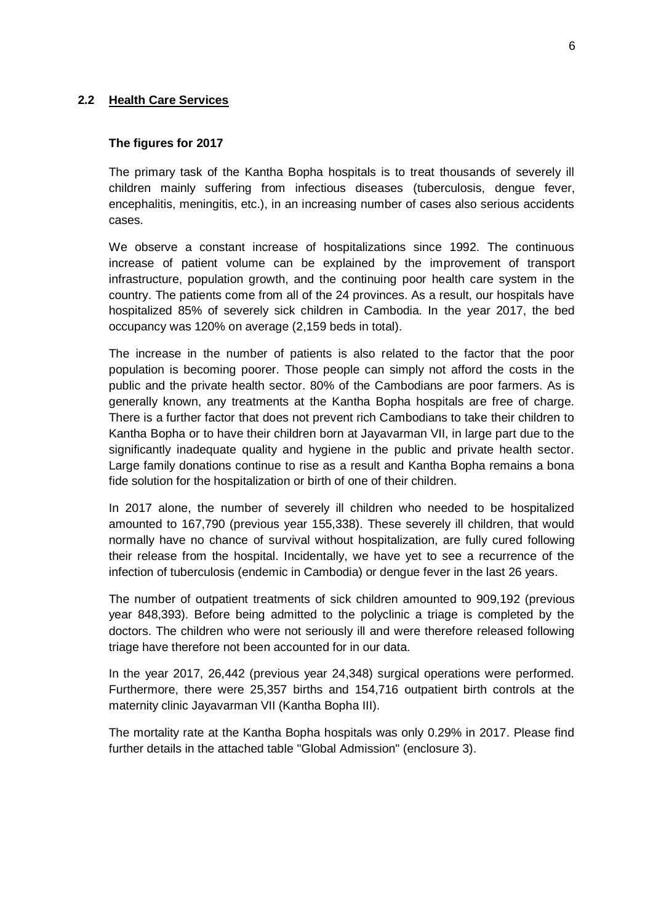#### **2.2 Health Care Services**

#### **The figures for 2017**

The primary task of the Kantha Bopha hospitals is to treat thousands of severely ill children mainly suffering from infectious diseases (tuberculosis, dengue fever, encephalitis, meningitis, etc.), in an increasing number of cases also serious accidents cases.

We observe a constant increase of hospitalizations since 1992. The continuous increase of patient volume can be explained by the improvement of transport infrastructure, population growth, and the continuing poor health care system in the country. The patients come from all of the 24 provinces. As a result, our hospitals have hospitalized 85% of severely sick children in Cambodia. In the year 2017, the bed occupancy was 120% on average (2,159 beds in total).

The increase in the number of patients is also related to the factor that the poor population is becoming poorer. Those people can simply not afford the costs in the public and the private health sector. 80% of the Cambodians are poor farmers. As is generally known, any treatments at the Kantha Bopha hospitals are free of charge. There is a further factor that does not prevent rich Cambodians to take their children to Kantha Bopha or to have their children born at Jayavarman VII, in large part due to the significantly inadequate quality and hygiene in the public and private health sector. Large family donations continue to rise as a result and Kantha Bopha remains a bona fide solution for the hospitalization or birth of one of their children.

In 2017 alone, the number of severely ill children who needed to be hospitalized amounted to 167,790 (previous year 155,338). These severely ill children, that would normally have no chance of survival without hospitalization, are fully cured following their release from the hospital. Incidentally, we have yet to see a recurrence of the infection of tuberculosis (endemic in Cambodia) or dengue fever in the last 26 years.

The number of outpatient treatments of sick children amounted to 909,192 (previous year 848,393). Before being admitted to the polyclinic a triage is completed by the doctors. The children who were not seriously ill and were therefore released following triage have therefore not been accounted for in our data.

In the year 2017, 26,442 (previous year 24,348) surgical operations were performed. Furthermore, there were 25,357 births and 154,716 outpatient birth controls at the maternity clinic Jayavarman VII (Kantha Bopha III).

The mortality rate at the Kantha Bopha hospitals was only 0.29% in 2017. Please find further details in the attached table "Global Admission" (enclosure 3).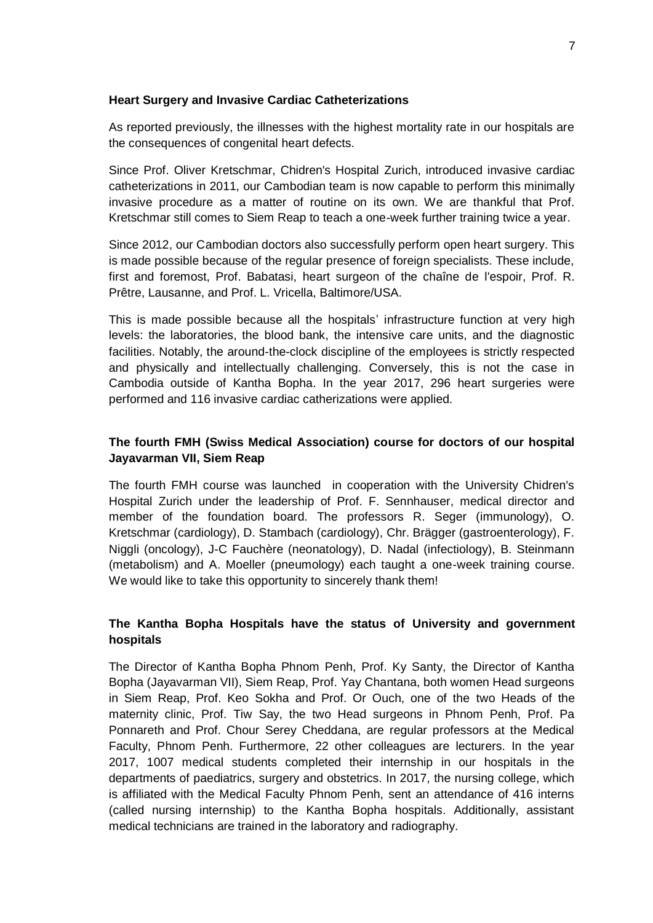#### **Heart Surgery and Invasive Cardiac Catheterizations**

As reported previously, the illnesses with the highest mortality rate in our hospitals are the consequences of congenital heart defects.

Since Prof. Oliver Kretschmar, Chidren's Hospital Zurich, introduced invasive cardiac catheterizations in 2011, our Cambodian team is now capable to perform this minimally invasive procedure as a matter of routine on its own. We are thankful that Prof. Kretschmar still comes to Siem Reap to teach a one-week further training twice a year.

Since 2012, our Cambodian doctors also successfully perform open heart surgery. This is made possible because of the regular presence of foreign specialists. These include, first and foremost, Prof. Babatasi, heart surgeon of the chaîne de l'espoir, Prof. R. Prêtre, Lausanne, and Prof. L. Vricella, Baltimore/USA.

This is made possible because all the hospitals' infrastructure function at very high levels: the laboratories, the blood bank, the intensive care units, and the diagnostic facilities. Notably, the around-the-clock discipline of the employees is strictly respected and physically and intellectually challenging. Conversely, this is not the case in Cambodia outside of Kantha Bopha. In the year 2017, 296 heart surgeries were performed and 116 invasive cardiac catherizations were applied.

## **The fourth FMH (Swiss Medical Association) course for doctors of our hospital Jayavarman VII, Siem Reap**

The fourth FMH course was launched in cooperation with the University Chidren's Hospital Zurich under the leadership of Prof. F. Sennhauser, medical director and member of the foundation board. The professors R. Seger (immunology), O. Kretschmar (cardiology), D. Stambach (cardiology), Chr. Brägger (gastroenterology), F. Niggli (oncology), J-C Fauchère (neonatology), D. Nadal (infectiology), B. Steinmann (metabolism) and A. Moeller (pneumology) each taught a one-week training course. We would like to take this opportunity to sincerely thank them!

## **The Kantha Bopha Hospitals have the status of University and government hospitals**

The Director of Kantha Bopha Phnom Penh, Prof. Ky Santy, the Director of Kantha Bopha (Jayavarman VII), Siem Reap, Prof. Yay Chantana, both women Head surgeons in Siem Reap, Prof. Keo Sokha and Prof. Or Ouch, one of the two Heads of the maternity clinic, Prof. Tiw Say, the two Head surgeons in Phnom Penh, Prof. Pa Ponnareth and Prof. Chour Serey Cheddana, are regular professors at the Medical Faculty, Phnom Penh. Furthermore, 22 other colleagues are lecturers. In the year 2017, 1007 medical students completed their internship in our hospitals in the departments of paediatrics, surgery and obstetrics. In 2017, the nursing college, which is affiliated with the Medical Faculty Phnom Penh, sent an attendance of 416 interns (called nursing internship) to the Kantha Bopha hospitals. Additionally, assistant medical technicians are trained in the laboratory and radiography.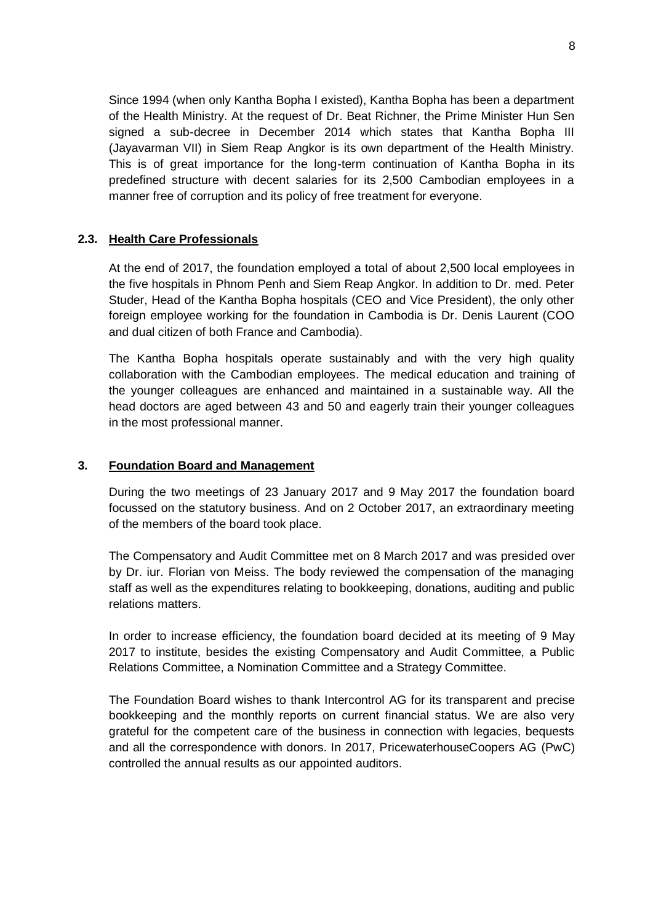Since 1994 (when only Kantha Bopha I existed), Kantha Bopha has been a department of the Health Ministry. At the request of Dr. Beat Richner, the Prime Minister Hun Sen signed a sub-decree in December 2014 which states that Kantha Bopha III (Jayavarman VII) in Siem Reap Angkor is its own department of the Health Ministry. This is of great importance for the long-term continuation of Kantha Bopha in its predefined structure with decent salaries for its 2,500 Cambodian employees in a manner free of corruption and its policy of free treatment for everyone.

## **2.3. Health Care Professionals**

At the end of 2017, the foundation employed a total of about 2,500 local employees in the five hospitals in Phnom Penh and Siem Reap Angkor. In addition to Dr. med. Peter Studer, Head of the Kantha Bopha hospitals (CEO and Vice President), the only other foreign employee working for the foundation in Cambodia is Dr. Denis Laurent (COO and dual citizen of both France and Cambodia).

The Kantha Bopha hospitals operate sustainably and with the very high quality collaboration with the Cambodian employees. The medical education and training of the younger colleagues are enhanced and maintained in a sustainable way. All the head doctors are aged between 43 and 50 and eagerly train their younger colleagues in the most professional manner.

### **3. Foundation Board and Management**

During the two meetings of 23 January 2017 and 9 May 2017 the foundation board focussed on the statutory business. And on 2 October 2017, an extraordinary meeting of the members of the board took place.

The Compensatory and Audit Committee met on 8 March 2017 and was presided over by Dr. iur. Florian von Meiss. The body reviewed the compensation of the managing staff as well as the expenditures relating to bookkeeping, donations, auditing and public relations matters.

In order to increase efficiency, the foundation board decided at its meeting of 9 May 2017 to institute, besides the existing Compensatory and Audit Committee, a Public Relations Committee, a Nomination Committee and a Strategy Committee.

The Foundation Board wishes to thank Intercontrol AG for its transparent and precise bookkeeping and the monthly reports on current financial status. We are also very grateful for the competent care of the business in connection with legacies, bequests and all the correspondence with donors. In 2017, PricewaterhouseCoopers AG (PwC) controlled the annual results as our appointed auditors.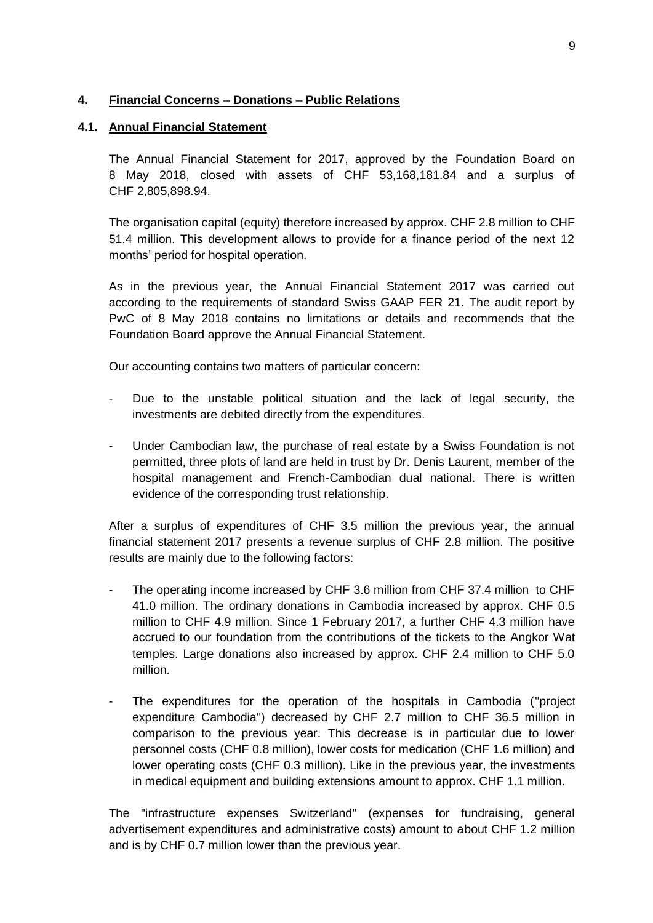## **4. Financial Concerns** – **Donations** – **Public Relations**

#### **4.1. Annual Financial Statement**

The Annual Financial Statement for 2017, approved by the Foundation Board on 8 May 2018, closed with assets of CHF 53,168,181.84 and a surplus of CHF 2,805,898.94.

The organisation capital (equity) therefore increased by approx. CHF 2.8 million to CHF 51.4 million. This development allows to provide for a finance period of the next 12 months' period for hospital operation.

As in the previous year, the Annual Financial Statement 2017 was carried out according to the requirements of standard Swiss GAAP FER 21. The audit report by PwC of 8 May 2018 contains no limitations or details and recommends that the Foundation Board approve the Annual Financial Statement.

Our accounting contains two matters of particular concern:

- Due to the unstable political situation and the lack of legal security, the investments are debited directly from the expenditures.
- Under Cambodian law, the purchase of real estate by a Swiss Foundation is not permitted, three plots of land are held in trust by Dr. Denis Laurent, member of the hospital management and French-Cambodian dual national. There is written evidence of the corresponding trust relationship.

After a surplus of expenditures of CHF 3.5 million the previous year, the annual financial statement 2017 presents a revenue surplus of CHF 2.8 million. The positive results are mainly due to the following factors:

- The operating income increased by CHF 3.6 million from CHF 37.4 million to CHF 41.0 million. The ordinary donations in Cambodia increased by approx. CHF 0.5 million to CHF 4.9 million. Since 1 February 2017, a further CHF 4.3 million have accrued to our foundation from the contributions of the tickets to the Angkor Wat temples. Large donations also increased by approx. CHF 2.4 million to CHF 5.0 million.
- The expenditures for the operation of the hospitals in Cambodia ("project expenditure Cambodia") decreased by CHF 2.7 million to CHF 36.5 million in comparison to the previous year. This decrease is in particular due to lower personnel costs (CHF 0.8 million), lower costs for medication (CHF 1.6 million) and lower operating costs (CHF 0.3 million). Like in the previous year, the investments in medical equipment and building extensions amount to approx. CHF 1.1 million.

The "infrastructure expenses Switzerland" (expenses for fundraising, general advertisement expenditures and administrative costs) amount to about CHF 1.2 million and is by CHF 0.7 million lower than the previous year.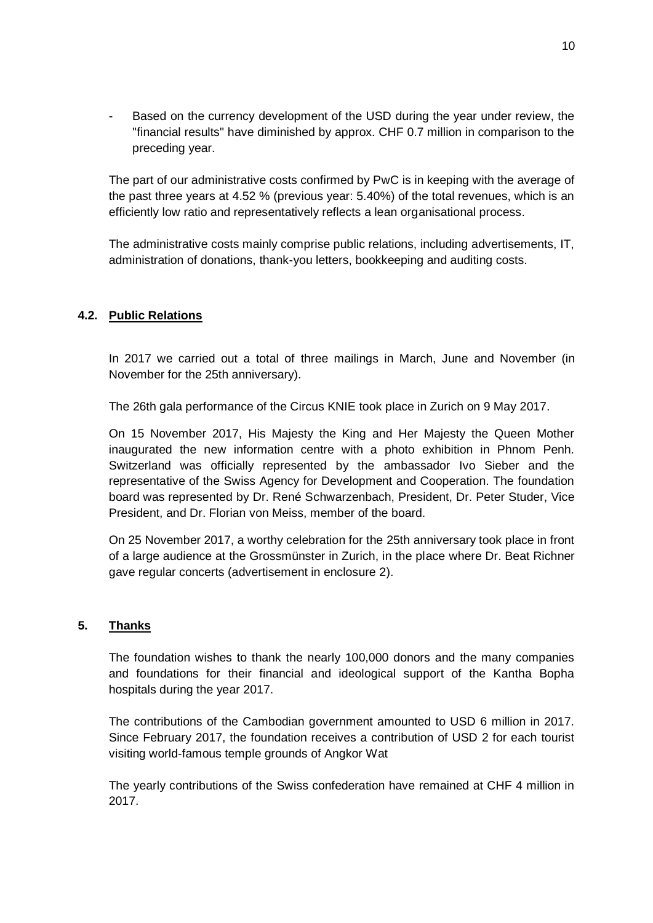Based on the currency development of the USD during the year under review, the "financial results" have diminished by approx. CHF 0.7 million in comparison to the preceding year.

The part of our administrative costs confirmed by PwC is in keeping with the average of the past three years at 4.52 % (previous year: 5.40%) of the total revenues, which is an efficiently low ratio and representatively reflects a lean organisational process.

The administrative costs mainly comprise public relations, including advertisements, IT, administration of donations, thank-you letters, bookkeeping and auditing costs.

## **4.2. Public Relations**

In 2017 we carried out a total of three mailings in March, June and November (in November for the 25th anniversary).

The 26th gala performance of the Circus KNIE took place in Zurich on 9 May 2017.

On 15 November 2017, His Majesty the King and Her Majesty the Queen Mother inaugurated the new information centre with a photo exhibition in Phnom Penh. Switzerland was officially represented by the ambassador Ivo Sieber and the representative of the Swiss Agency for Development and Cooperation. The foundation board was represented by Dr. René Schwarzenbach, President, Dr. Peter Studer, Vice President, and Dr. Florian von Meiss, member of the board.

On 25 November 2017, a worthy celebration for the 25th anniversary took place in front of a large audience at the Grossmünster in Zurich, in the place where Dr. Beat Richner gave regular concerts (advertisement in enclosure 2).

#### **5. Thanks**

The foundation wishes to thank the nearly 100,000 donors and the many companies and foundations for their financial and ideological support of the Kantha Bopha hospitals during the year 2017.

The contributions of the Cambodian government amounted to USD 6 million in 2017. Since February 2017, the foundation receives a contribution of USD 2 for each tourist visiting world-famous temple grounds of Angkor Wat

The yearly contributions of the Swiss confederation have remained at CHF 4 million in 2017.